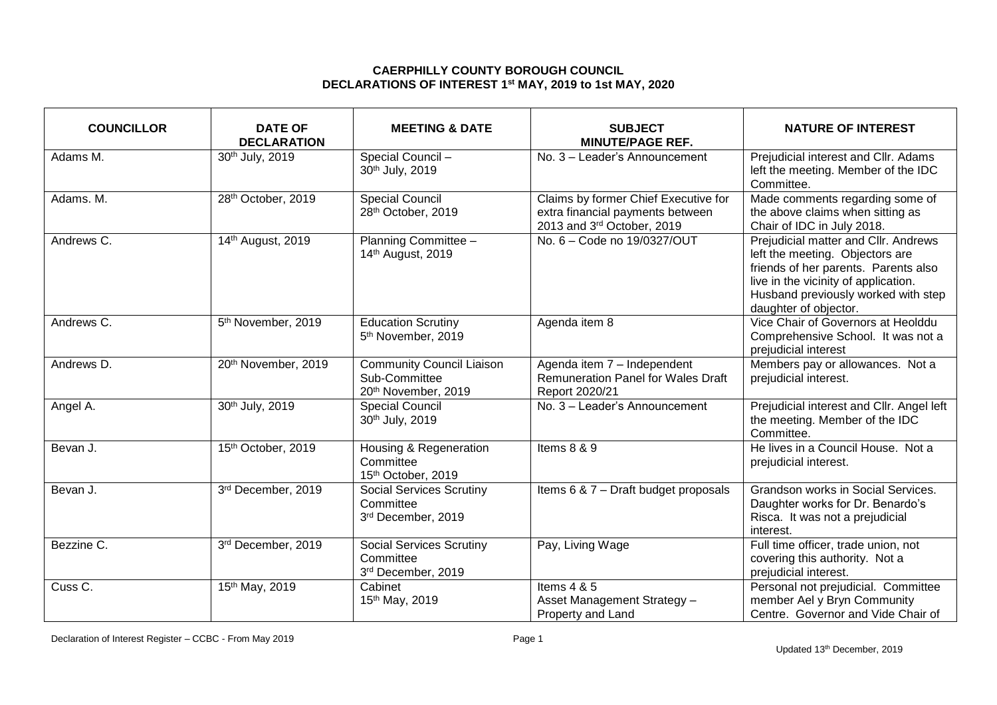## **CAERPHILLY COUNTY BOROUGH COUNCIL DECLARATIONS OF INTEREST 1 st MAY, 2019 to 1st MAY, 2020**

| <b>COUNCILLOR</b>  | <b>DATE OF</b><br><b>DECLARATION</b> | <b>MEETING &amp; DATE</b>                                                | <b>SUBJECT</b><br><b>MINUTE/PAGE REF.</b>                                                              | <b>NATURE OF INTEREST</b>                                                                                                                                                                                               |
|--------------------|--------------------------------------|--------------------------------------------------------------------------|--------------------------------------------------------------------------------------------------------|-------------------------------------------------------------------------------------------------------------------------------------------------------------------------------------------------------------------------|
| Adams M.           | 30th July, 2019                      | Special Council -<br>30th July, 2019                                     | No. 3 - Leader's Announcement                                                                          | Prejudicial interest and Cllr. Adams<br>left the meeting. Member of the IDC<br>Committee.                                                                                                                               |
| Adams. M.          | 28th October, 2019                   | Special Council<br>28th October, 2019                                    | Claims by former Chief Executive for<br>extra financial payments between<br>2013 and 3rd October, 2019 | Made comments regarding some of<br>the above claims when sitting as<br>Chair of IDC in July 2018.                                                                                                                       |
| Andrews C.         | 14th August, 2019                    | Planning Committee -<br>14th August, 2019                                | No. 6 - Code no 19/0327/OUT                                                                            | Prejudicial matter and Cllr. Andrews<br>left the meeting. Objectors are<br>friends of her parents. Parents also<br>live in the vicinity of application.<br>Husband previously worked with step<br>daughter of objector. |
| Andrews C.         | 5 <sup>th</sup> November, 2019       | <b>Education Scrutiny</b><br>5 <sup>th</sup> November, 2019              | Agenda item 8                                                                                          | Vice Chair of Governors at Heolddu<br>Comprehensive School. It was not a<br>prejudicial interest                                                                                                                        |
| Andrews D.         | 20th November, 2019                  | <b>Community Council Liaison</b><br>Sub-Committee<br>20th November, 2019 | Agenda item 7 - Independent<br><b>Remuneration Panel for Wales Draft</b><br>Report 2020/21             | Members pay or allowances. Not a<br>prejudicial interest.                                                                                                                                                               |
| Angel A.           | 30th July, 2019                      | <b>Special Council</b><br>30th July, 2019                                | No. 3 - Leader's Announcement                                                                          | Prejudicial interest and Cllr. Angel left<br>the meeting. Member of the IDC<br>Committee.                                                                                                                               |
| Bevan J.           | 15th October, 2019                   | Housing & Regeneration<br>Committee<br>15th October, 2019                | Items 8 & 9                                                                                            | He lives in a Council House. Not a<br>prejudicial interest.                                                                                                                                                             |
| Bevan J.           | 3rd December, 2019                   | <b>Social Services Scrutiny</b><br>Committee<br>3rd December, 2019       | Items 6 & 7 - Draft budget proposals                                                                   | Grandson works in Social Services.<br>Daughter works for Dr. Benardo's<br>Risca. It was not a prejudicial<br>interest.                                                                                                  |
| Bezzine C.         | 3rd December, 2019                   | <b>Social Services Scrutiny</b><br>Committee<br>3rd December, 2019       | Pay, Living Wage                                                                                       | Full time officer, trade union, not<br>covering this authority. Not a<br>prejudicial interest.                                                                                                                          |
| Cuss <sub>C.</sub> | 15th May, 2019                       | Cabinet<br>15th May, 2019                                                | Items $4 & 5$<br>Asset Management Strategy -<br>Property and Land                                      | Personal not prejudicial. Committee<br>member Ael y Bryn Community<br>Centre. Governor and Vide Chair of                                                                                                                |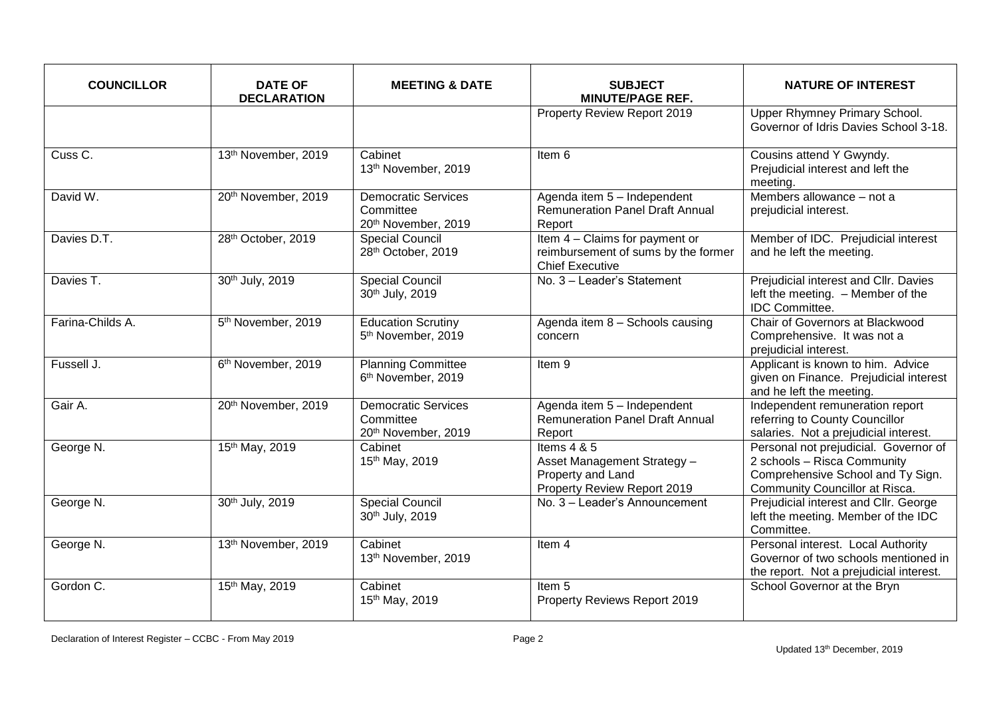| <b>COUNCILLOR</b>  | <b>DATE OF</b><br><b>DECLARATION</b> | <b>MEETING &amp; DATE</b>                                      | <b>SUBJECT</b><br><b>MINUTE/PAGE REF.</b>                                                        | <b>NATURE OF INTEREST</b>                                                                                                                   |
|--------------------|--------------------------------------|----------------------------------------------------------------|--------------------------------------------------------------------------------------------------|---------------------------------------------------------------------------------------------------------------------------------------------|
|                    |                                      |                                                                | Property Review Report 2019                                                                      | Upper Rhymney Primary School.<br>Governor of Idris Davies School 3-18.                                                                      |
| Cuss <sub>C.</sub> | 13th November, 2019                  | Cabinet<br>13th November, 2019                                 | Item 6                                                                                           | Cousins attend Y Gwyndy.<br>Prejudicial interest and left the<br>meeting.                                                                   |
| David W.           | 20th November, 2019                  | <b>Democratic Services</b><br>Committee<br>20th November, 2019 | Agenda item 5 - Independent<br>Remuneration Panel Draft Annual<br>Report                         | Members allowance - not a<br>prejudicial interest.                                                                                          |
| Davies D.T.        | 28th October, 2019                   | <b>Special Council</b><br>28th October, 2019                   | Item 4 - Claims for payment or<br>reimbursement of sums by the former<br><b>Chief Executive</b>  | Member of IDC. Prejudicial interest<br>and he left the meeting.                                                                             |
| Davies T.          | 30th July, 2019                      | <b>Special Council</b><br>30th July, 2019                      | No. 3 - Leader's Statement                                                                       | Prejudicial interest and Cllr. Davies<br>left the meeting. - Member of the<br><b>IDC</b> Committee.                                         |
| Farina-Childs A.   | 5 <sup>th</sup> November, 2019       | <b>Education Scrutiny</b><br>5 <sup>th</sup> November, 2019    | Agenda item 8 - Schools causing<br>concern                                                       | Chair of Governors at Blackwood<br>Comprehensive. It was not a<br>prejudicial interest.                                                     |
| Fussell J.         | 6 <sup>th</sup> November, 2019       | <b>Planning Committee</b><br>6 <sup>th</sup> November, 2019    | Item 9                                                                                           | Applicant is known to him. Advice<br>given on Finance. Prejudicial interest<br>and he left the meeting.                                     |
| Gair A.            | 20th November, 2019                  | <b>Democratic Services</b><br>Committee<br>20th November, 2019 | Agenda item 5 - Independent<br><b>Remuneration Panel Draft Annual</b><br>Report                  | Independent remuneration report<br>referring to County Councillor<br>salaries. Not a prejudicial interest.                                  |
| George N.          | 15th May, 2019                       | Cabinet<br>15th May, 2019                                      | Items $4 & 5$<br>Asset Management Strategy -<br>Property and Land<br>Property Review Report 2019 | Personal not prejudicial. Governor of<br>2 schools - Risca Community<br>Comprehensive School and Ty Sign.<br>Community Councillor at Risca. |
| George N.          | 30th July, 2019                      | <b>Special Council</b><br>30th July, 2019                      | No. 3 - Leader's Announcement                                                                    | Prejudicial interest and Cllr. George<br>left the meeting. Member of the IDC<br>Committee.                                                  |
| George N.          | 13th November, 2019                  | Cabinet<br>13th November, 2019                                 | Item 4                                                                                           | Personal interest. Local Authority<br>Governor of two schools mentioned in<br>the report. Not a prejudicial interest.                       |
| Gordon C.          | 15th May, 2019                       | Cabinet<br>15th May, 2019                                      | Item <sub>5</sub><br>Property Reviews Report 2019                                                | School Governor at the Bryn                                                                                                                 |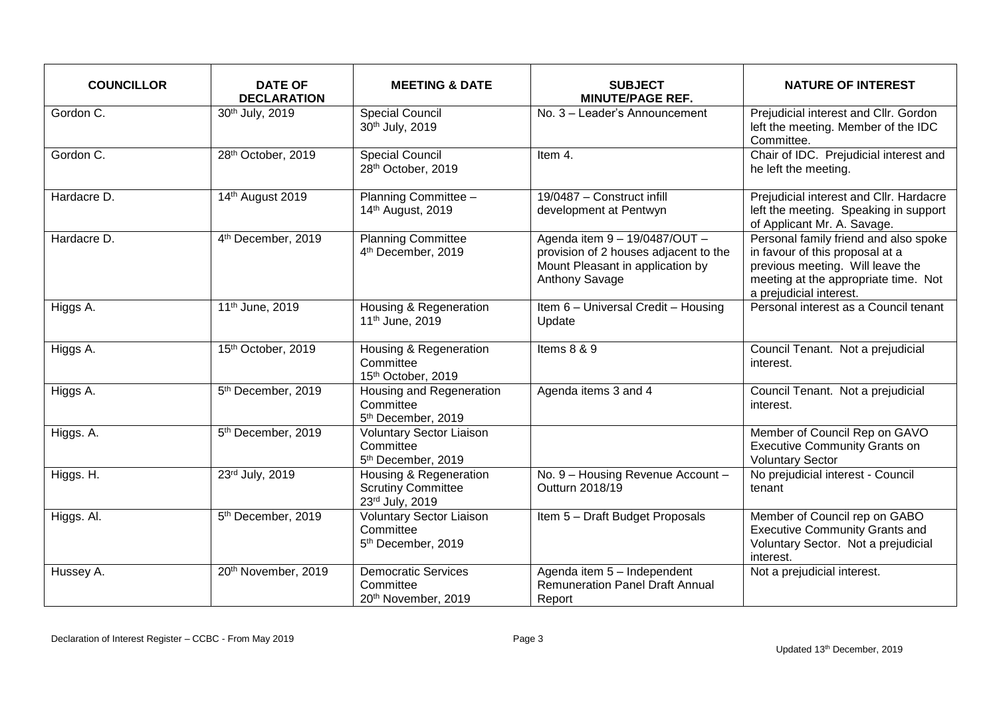| <b>COUNCILLOR</b> | <b>DATE OF</b><br><b>DECLARATION</b> | <b>MEETING &amp; DATE</b>                                                      | <b>SUBJECT</b><br><b>MINUTE/PAGE REF.</b>                                                                                    | <b>NATURE OF INTEREST</b>                                                                                                                                                       |
|-------------------|--------------------------------------|--------------------------------------------------------------------------------|------------------------------------------------------------------------------------------------------------------------------|---------------------------------------------------------------------------------------------------------------------------------------------------------------------------------|
| Gordon C.         | 30th July, 2019                      | <b>Special Council</b><br>30th July, 2019                                      | $\overline{No}$ . 3 - Leader's Announcement                                                                                  | Prejudicial interest and Cllr. Gordon<br>left the meeting. Member of the IDC<br>Committee.                                                                                      |
| Gordon C.         | 28th October, 2019                   | <b>Special Council</b><br>28th October, 2019                                   | Item 4.                                                                                                                      | Chair of IDC. Prejudicial interest and<br>he left the meeting.                                                                                                                  |
| Hardacre D.       | 14th August 2019                     | Planning Committee -<br>14th August, 2019                                      | 19/0487 - Construct infill<br>development at Pentwyn                                                                         | Prejudicial interest and Cllr. Hardacre<br>left the meeting. Speaking in support<br>of Applicant Mr. A. Savage.                                                                 |
| Hardacre D.       | 4 <sup>th</sup> December, 2019       | <b>Planning Committee</b><br>4 <sup>th</sup> December, 2019                    | Agenda item 9 - 19/0487/OUT -<br>provision of 2 houses adjacent to the<br>Mount Pleasant in application by<br>Anthony Savage | Personal family friend and also spoke<br>in favour of this proposal at a<br>previous meeting. Will leave the<br>meeting at the appropriate time. Not<br>a prejudicial interest. |
| Higgs A.          | 11 <sup>th</sup> June, 2019          | Housing & Regeneration<br>11 <sup>th</sup> June, 2019                          | Item 6 - Universal Credit - Housing<br>Update                                                                                | Personal interest as a Council tenant                                                                                                                                           |
| Higgs A.          | 15th October, 2019                   | Housing & Regeneration<br>Committee<br>15th October, 2019                      | Items 8 & 9                                                                                                                  | Council Tenant. Not a prejudicial<br>interest.                                                                                                                                  |
| Higgs A.          | 5th December, 2019                   | Housing and Regeneration<br>Committee<br>5 <sup>th</sup> December, 2019        | Agenda items 3 and 4                                                                                                         | Council Tenant. Not a prejudicial<br>interest.                                                                                                                                  |
| Higgs. A.         | 5th December, 2019                   | <b>Voluntary Sector Liaison</b><br>Committee<br>5 <sup>th</sup> December, 2019 |                                                                                                                              | Member of Council Rep on GAVO<br><b>Executive Community Grants on</b><br><b>Voluntary Sector</b>                                                                                |
| Higgs. H.         | 23rd July, 2019                      | Housing & Regeneration<br><b>Scrutiny Committee</b><br>23rd July, 2019         | No. 9 - Housing Revenue Account -<br>Outturn 2018/19                                                                         | No prejudicial interest - Council<br>tenant                                                                                                                                     |
| Higgs. Al.        | 5 <sup>th</sup> December, 2019       | <b>Voluntary Sector Liaison</b><br>Committee<br>5 <sup>th</sup> December, 2019 | Item 5 - Draft Budget Proposals                                                                                              | Member of Council rep on GABO<br><b>Executive Community Grants and</b><br>Voluntary Sector. Not a prejudicial<br>interest.                                                      |
| Hussey A.         | 20th November, 2019                  | <b>Democratic Services</b><br>Committee<br>20th November, 2019                 | Agenda item 5 - Independent<br><b>Remuneration Panel Draft Annual</b><br>Report                                              | Not a prejudicial interest.                                                                                                                                                     |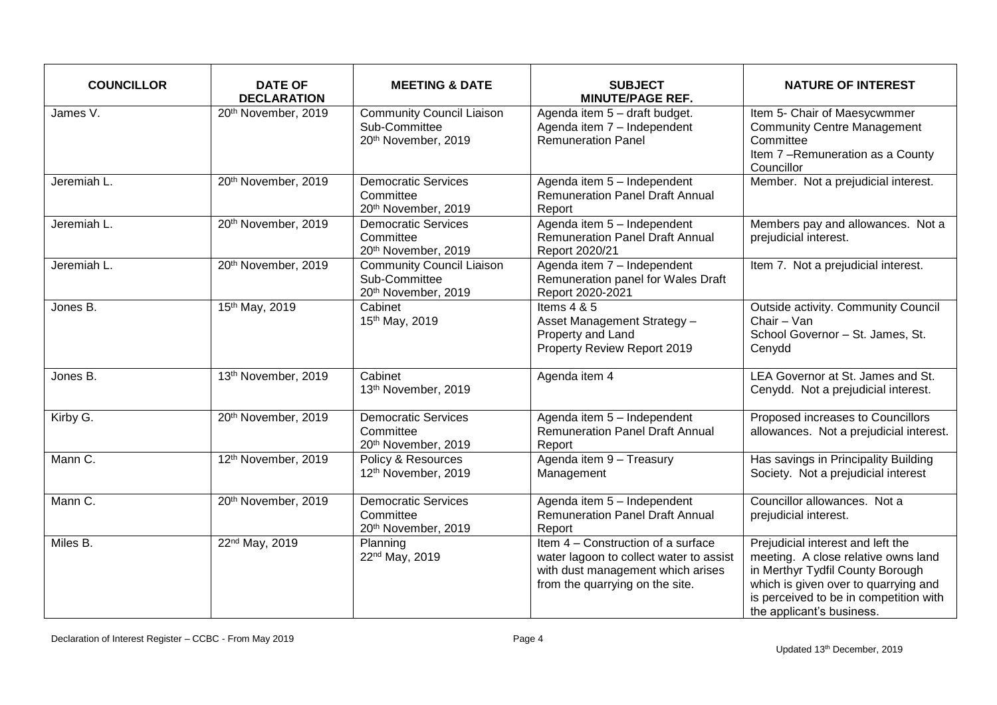| <b>COUNCILLOR</b> | <b>DATE OF</b><br><b>DECLARATION</b> | <b>MEETING &amp; DATE</b>                                                | <b>SUBJECT</b><br><b>MINUTE/PAGE REF.</b>                                                                                                             | <b>NATURE OF INTEREST</b>                                                                                                                                                                                                   |
|-------------------|--------------------------------------|--------------------------------------------------------------------------|-------------------------------------------------------------------------------------------------------------------------------------------------------|-----------------------------------------------------------------------------------------------------------------------------------------------------------------------------------------------------------------------------|
| James V.          | 20th November, 2019                  | <b>Community Council Liaison</b><br>Sub-Committee<br>20th November, 2019 | Agenda item 5 - draft budget.<br>Agenda item 7 - Independent<br><b>Remuneration Panel</b>                                                             | Item 5- Chair of Maesycwmmer<br><b>Community Centre Management</b><br>Committee<br>Item 7-Remuneration as a County<br>Councillor                                                                                            |
| Jeremiah L.       | 20th November, 2019                  | <b>Democratic Services</b><br>Committee<br>20th November, 2019           | Agenda item 5 - Independent<br><b>Remuneration Panel Draft Annual</b><br>Report                                                                       | Member. Not a prejudicial interest.                                                                                                                                                                                         |
| Jeremiah L.       | 20th November, 2019                  | <b>Democratic Services</b><br>Committee<br>20th November, 2019           | Agenda item 5 - Independent<br><b>Remuneration Panel Draft Annual</b><br>Report 2020/21                                                               | Members pay and allowances. Not a<br>prejudicial interest.                                                                                                                                                                  |
| Jeremiah L.       | 20th November, 2019                  | <b>Community Council Liaison</b><br>Sub-Committee<br>20th November, 2019 | Agenda item 7 - Independent<br>Remuneration panel for Wales Draft<br>Report 2020-2021                                                                 | Item 7. Not a prejudicial interest.                                                                                                                                                                                         |
| Jones B.          | 15th May, 2019                       | Cabinet<br>15th May, 2019                                                | Items $4 & 5$<br>Asset Management Strategy -<br>Property and Land<br>Property Review Report 2019                                                      | Outside activity. Community Council<br>Chair - Van<br>School Governor - St. James, St.<br>Cenydd                                                                                                                            |
| Jones B.          | 13th November, 2019                  | Cabinet<br>13th November, 2019                                           | Agenda item 4                                                                                                                                         | LEA Governor at St. James and St.<br>Cenydd. Not a prejudicial interest.                                                                                                                                                    |
| Kirby G.          | 20th November, 2019                  | <b>Democratic Services</b><br>Committee<br>20th November, 2019           | Agenda item 5 - Independent<br><b>Remuneration Panel Draft Annual</b><br>Report                                                                       | Proposed increases to Councillors<br>allowances. Not a prejudicial interest.                                                                                                                                                |
| Mann C.           | 12th November, 2019                  | Policy & Resources<br>12th November, 2019                                | Agenda item 9 - Treasury<br>Management                                                                                                                | Has savings in Principality Building<br>Society. Not a prejudicial interest                                                                                                                                                 |
| Mann C.           | 20th November, 2019                  | <b>Democratic Services</b><br>Committee<br>20th November, 2019           | Agenda item 5 - Independent<br><b>Remuneration Panel Draft Annual</b><br>Report                                                                       | Councillor allowances. Not a<br>prejudicial interest.                                                                                                                                                                       |
| Miles B.          | 22 <sup>nd</sup> May, 2019           | Planning<br>22 <sup>nd</sup> May, 2019                                   | Item 4 – Construction of a surface<br>water lagoon to collect water to assist<br>with dust management which arises<br>from the quarrying on the site. | Prejudicial interest and left the<br>meeting. A close relative owns land<br>in Merthyr Tydfil County Borough<br>which is given over to quarrying and<br>is perceived to be in competition with<br>the applicant's business. |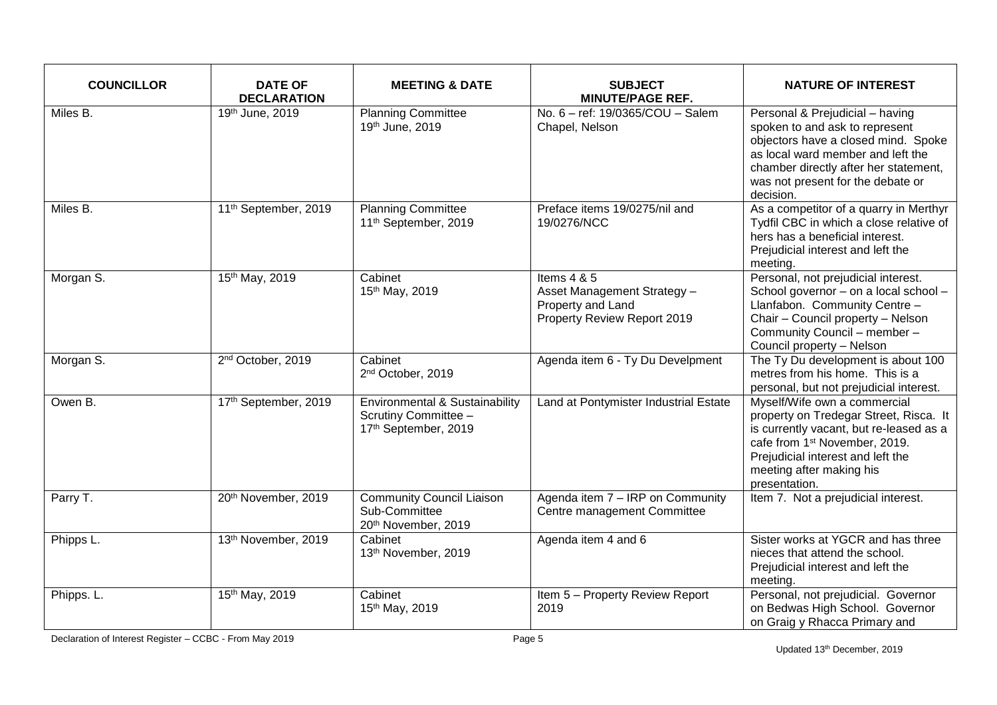| <b>COUNCILLOR</b> | <b>DATE OF</b><br><b>DECLARATION</b> | <b>MEETING &amp; DATE</b>                                                      | <b>SUBJECT</b><br><b>MINUTE/PAGE REF.</b>                                                        | <b>NATURE OF INTEREST</b>                                                                                                                                                                                                                        |
|-------------------|--------------------------------------|--------------------------------------------------------------------------------|--------------------------------------------------------------------------------------------------|--------------------------------------------------------------------------------------------------------------------------------------------------------------------------------------------------------------------------------------------------|
| Miles B.          | 19th June, 2019                      | <b>Planning Committee</b><br>19th June, 2019                                   | No. 6 - ref: 19/0365/COU - Salem<br>Chapel, Nelson                                               | Personal & Prejudicial - having<br>spoken to and ask to represent<br>objectors have a closed mind. Spoke<br>as local ward member and left the<br>chamber directly after her statement,<br>was not present for the debate or<br>decision.         |
| Miles B.          | 11 <sup>th</sup> September, 2019     | <b>Planning Committee</b><br>11 <sup>th</sup> September, 2019                  | Preface items 19/0275/nil and<br>19/0276/NCC                                                     | As a competitor of a quarry in Merthyr<br>Tydfil CBC in which a close relative of<br>hers has a beneficial interest.<br>Prejudicial interest and left the<br>meeting.                                                                            |
| Morgan S.         | 15th May, 2019                       | Cabinet<br>15th May, 2019                                                      | Items $4 & 5$<br>Asset Management Strategy -<br>Property and Land<br>Property Review Report 2019 | Personal, not prejudicial interest.<br>School governor - on a local school -<br>Llanfabon. Community Centre -<br>Chair - Council property - Nelson<br>Community Council - member -<br>Council property - Nelson                                  |
| Morgan S.         | 2 <sup>nd</sup> October, 2019        | Cabinet<br>2 <sup>nd</sup> October, 2019                                       | Agenda item 6 - Ty Du Develpment                                                                 | The Ty Du development is about 100<br>metres from his home. This is a<br>personal, but not prejudicial interest.                                                                                                                                 |
| Owen B.           | 17th September, 2019                 | Environmental & Sustainability<br>Scrutiny Committee -<br>17th September, 2019 | Land at Pontymister Industrial Estate                                                            | Myself/Wife own a commercial<br>property on Tredegar Street, Risca. It<br>is currently vacant, but re-leased as a<br>cafe from 1 <sup>st</sup> November, 2019.<br>Prejudicial interest and left the<br>meeting after making his<br>presentation. |
| Parry T.          | 20th November, 2019                  | <b>Community Council Liaison</b><br>Sub-Committee<br>20th November, 2019       | Agenda item 7 - IRP on Community<br>Centre management Committee                                  | Item 7. Not a prejudicial interest.                                                                                                                                                                                                              |
| Phipps L.         | 13th November, 2019                  | Cabinet<br>13th November, 2019                                                 | Agenda item 4 and 6                                                                              | Sister works at YGCR and has three<br>nieces that attend the school.<br>Prejudicial interest and left the<br>meeting.                                                                                                                            |
| Phipps. L.        | 15th May, 2019                       | Cabinet<br>15th May, 2019                                                      | Item 5 - Property Review Report<br>2019                                                          | Personal, not prejudicial. Governor<br>on Bedwas High School. Governor<br>on Graig y Rhacca Primary and                                                                                                                                          |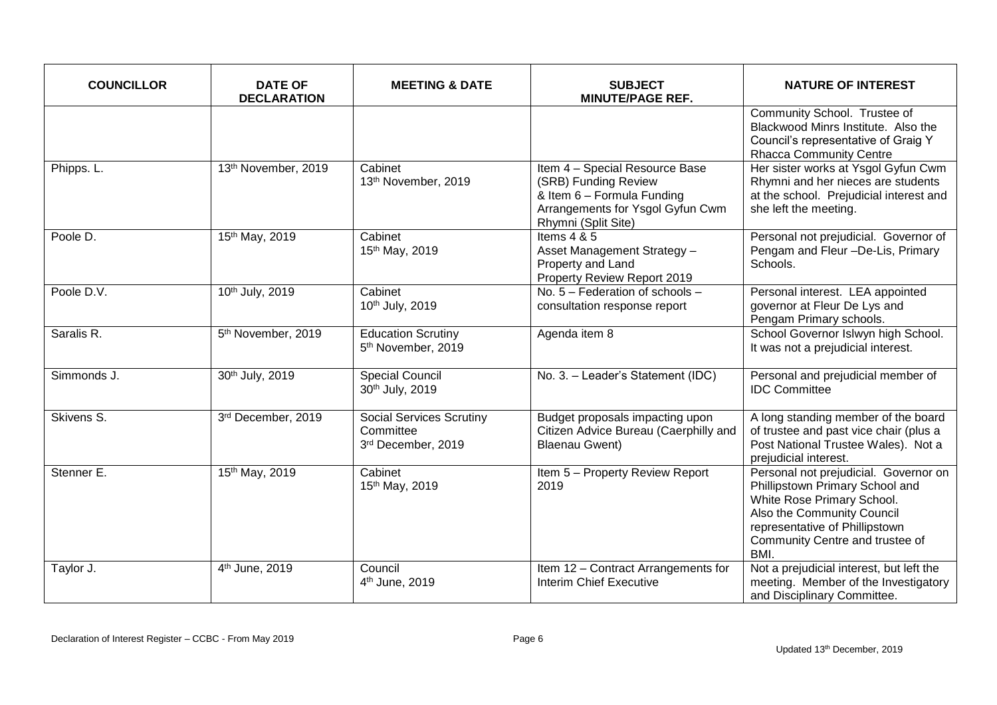| <b>COUNCILLOR</b> | <b>DATE OF</b><br><b>DECLARATION</b> | <b>MEETING &amp; DATE</b>                                          | <b>SUBJECT</b><br><b>MINUTE/PAGE REF.</b>                                                                                                       | <b>NATURE OF INTEREST</b>                                                                                                                                                                                         |
|-------------------|--------------------------------------|--------------------------------------------------------------------|-------------------------------------------------------------------------------------------------------------------------------------------------|-------------------------------------------------------------------------------------------------------------------------------------------------------------------------------------------------------------------|
|                   |                                      |                                                                    |                                                                                                                                                 | Community School. Trustee of<br>Blackwood Minrs Institute. Also the<br>Council's representative of Graig Y<br><b>Rhacca Community Centre</b>                                                                      |
| Phipps. L.        | 13th November, 2019                  | Cabinet<br>13th November, 2019                                     | Item 4 - Special Resource Base<br>(SRB) Funding Review<br>& Item 6 - Formula Funding<br>Arrangements for Ysgol Gyfun Cwm<br>Rhymni (Split Site) | Her sister works at Ysgol Gyfun Cwm<br>Rhymni and her nieces are students<br>at the school. Prejudicial interest and<br>she left the meeting.                                                                     |
| Poole D.          | 15th May, 2019                       | Cabinet<br>15th May, 2019                                          | Items $4 & 5$<br>Asset Management Strategy -<br>Property and Land<br>Property Review Report 2019                                                | Personal not prejudicial. Governor of<br>Pengam and Fleur -De-Lis, Primary<br>Schools.                                                                                                                            |
| Poole D.V.        | 10th July, 2019                      | Cabinet<br>10th July, 2019                                         | No. 5 - Federation of schools -<br>consultation response report                                                                                 | Personal interest. LEA appointed<br>governor at Fleur De Lys and<br>Pengam Primary schools.                                                                                                                       |
| Saralis R.        | 5 <sup>th</sup> November, 2019       | <b>Education Scrutiny</b><br>5 <sup>th</sup> November, 2019        | Agenda item 8                                                                                                                                   | School Governor Islwyn high School.<br>It was not a prejudicial interest.                                                                                                                                         |
| Simmonds J.       | 30th July, 2019                      | <b>Special Council</b><br>30th July, 2019                          | No. 3. - Leader's Statement (IDC)                                                                                                               | Personal and prejudicial member of<br><b>IDC Committee</b>                                                                                                                                                        |
| Skivens S.        | 3rd December, 2019                   | <b>Social Services Scrutiny</b><br>Committee<br>3rd December, 2019 | Budget proposals impacting upon<br>Citizen Advice Bureau (Caerphilly and<br><b>Blaenau Gwent)</b>                                               | A long standing member of the board<br>of trustee and past vice chair (plus a<br>Post National Trustee Wales). Not a<br>prejudicial interest.                                                                     |
| Stenner E.        | 15th May, 2019                       | Cabinet<br>15th May, 2019                                          | Item 5 - Property Review Report<br>2019                                                                                                         | Personal not prejudicial. Governor on<br>Phillipstown Primary School and<br>White Rose Primary School.<br>Also the Community Council<br>representative of Phillipstown<br>Community Centre and trustee of<br>BMI. |
| Taylor J.         | 4 <sup>th</sup> June, 2019           | Council<br>4 <sup>th</sup> June, 2019                              | Item 12 - Contract Arrangements for<br>Interim Chief Executive                                                                                  | Not a prejudicial interest, but left the<br>meeting. Member of the Investigatory<br>and Disciplinary Committee.                                                                                                   |